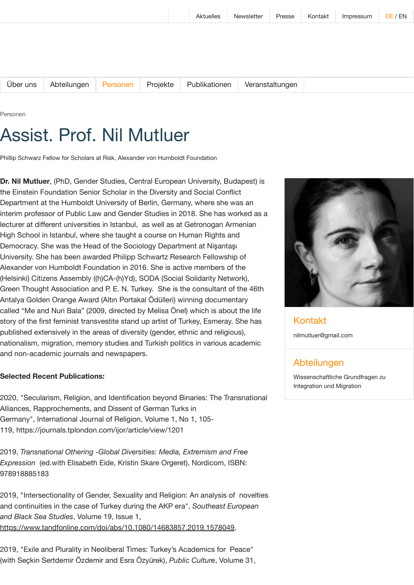[Über](https://www.bim.hu-berlin.de/de/ueber-uns/) uns [Abteilungen](https://www.bim.hu-berlin.de/de/abteilungen/) [Personen](https://www.bim.hu-berlin.de/de/personen/) [Projekte](https://www.bim.hu-berlin.de/de/projekte/) [Publikationen](https://www.bim.hu-berlin.de/de/publikationen/) [Veranstaltungen](https://www.bim.hu-berlin.de/de/veranstaltungen/)

Personen

## Assist. Prof. Nil Mutluer

Phillip Schwarz Fellow for Scholars at Risk, Alexander von Humboldt Foundation

**Dr. Nil Mutluer**, (PhD, Gender Studies, Central European University, Budapest) is the Einstein Foundation Senior Scholar in the Diversity and Social Conflict Department at the Humboldt University of Berlin, Germany, where she was an interim professor of Public Law and Gender Studies in 2018. She has worked as a lecturer at different universities in Istanbul, as well as at Getronogan Armenian High School in Istanbul, where she taught a course on Human Rights and Democracy. She was the Head of the Sociology Department at Nişantaşı University. She has been awarded Philipp Schwartz Research Fellowship of Alexander von Humboldt Foundation in 2016. She is active members of the (Helsinki) Citizens Assembly ((h)CA-(h)Yd), SODA (Social Solidarity Network), Green Thought Association and P. E. N. Turkey. She is the consultant of the 46th Antalya Golden Orange Award (Altın Portakal Ödülleri) winning documentary called "Me and Nuri Bala" (2009, directed by Melisa Önel) which is about the life story of the first feminist transvestite stand up artist of Turkey, Esmeray. She has published extensively in the areas of diversity (gender, ethnic and religious), nationalism, migration, memory studies and Turkish politics in various academic and non-academic journals and newspapers.

## **Selected Recent Publications:**

2020, "Secularism, Religion, and Identification beyond Binaries: The Transnational Alliances, Rapprochements, and Dissent of German Turks in Germany", International Journal of Religion, Volume 1, No 1, 105- 119, https://journals.tplondon.com/ijor/article/view/1201

2019, *Transnational Othering -Global Diversities: Media, Extremism and Free Expression* (ed.with Elisabeth Eide, Kristin Skare Orgeret), Nordicom, ISBN: 978918885183

2019, "Intersectionality of Gender, Sexuality and Religion: An analysis of novelties and continuities in the case of Turkey during the AKP era", *Southeast European and Black Sea Studies*, Volume 19, Issue 1, <https://www.tandfonline.com/doi/abs/10.1080/14683857.2019.1578049>.

2019, "Exile and Plurality in Neoliberal Times: Turkey's Academics for Peace" (with Seçkin Sertdemir Özdemir and Esra Özyürek), *Public Culture*, Volume 31,



Kontakt [nilmutluer@gmail.com](mailto:nilmutluer@gmail.com)

## Abteilungen

[Wissenschaftliche](https://www.bim.hu-berlin.de/de/abteilungen/wissenschaftliche-grundfragen-zu-integration-und-migration/) Grundfragen zu Integration und Migration